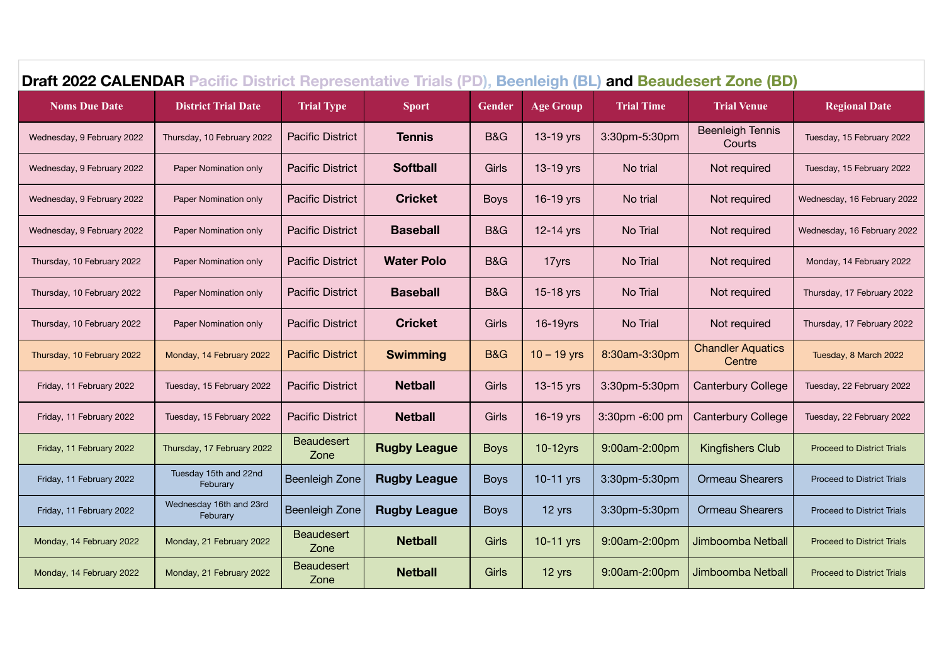| <b>Draft 2022 CALENDAR Pacific District Representative Trials (PD), Beenleigh (BL)</b><br>and Beaudesert Zone (BD) |                                     |                           |                     |                |                  |                   |                                    |                                   |  |  |
|--------------------------------------------------------------------------------------------------------------------|-------------------------------------|---------------------------|---------------------|----------------|------------------|-------------------|------------------------------------|-----------------------------------|--|--|
| <b>Noms Due Date</b>                                                                                               | <b>District Trial Date</b>          | <b>Trial Type</b>         | <b>Sport</b>        | <b>Gender</b>  | <b>Age Group</b> | <b>Trial Time</b> | <b>Trial Venue</b>                 | <b>Regional Date</b>              |  |  |
| Wednesday, 9 February 2022                                                                                         | Thursday, 10 February 2022          | <b>Pacific District</b>   | <b>Tennis</b>       | <b>B&amp;G</b> | 13-19 yrs        | 3:30pm-5:30pm     | <b>Beenleigh Tennis</b><br>Courts  | Tuesday, 15 February 2022         |  |  |
| Wednesday, 9 February 2022                                                                                         | Paper Nomination only               | <b>Pacific District</b>   | <b>Softball</b>     | Girls          | 13-19 yrs        | No trial          | Not required                       | Tuesday, 15 February 2022         |  |  |
| Wednesday, 9 February 2022                                                                                         | Paper Nomination only               | <b>Pacific District</b>   | <b>Cricket</b>      | <b>Boys</b>    | 16-19 yrs        | No trial          | Not required                       | Wednesday, 16 February 2022       |  |  |
| Wednesday, 9 February 2022                                                                                         | Paper Nomination only               | <b>Pacific District</b>   | <b>Baseball</b>     | <b>B&amp;G</b> | 12-14 yrs        | No Trial          | Not required                       | Wednesday, 16 February 2022       |  |  |
| Thursday, 10 February 2022                                                                                         | Paper Nomination only               | <b>Pacific District</b>   | <b>Water Polo</b>   | B&G            | 17yrs            | No Trial          | Not required                       | Monday, 14 February 2022          |  |  |
| Thursday, 10 February 2022                                                                                         | Paper Nomination only               | <b>Pacific District</b>   | <b>Baseball</b>     | <b>B&amp;G</b> | 15-18 yrs        | No Trial          | Not required                       | Thursday, 17 February 2022        |  |  |
| Thursday, 10 February 2022                                                                                         | Paper Nomination only               | <b>Pacific District</b>   | <b>Cricket</b>      | Girls          | 16-19yrs         | No Trial          | Not required                       | Thursday, 17 February 2022        |  |  |
| Thursday, 10 February 2022                                                                                         | Monday, 14 February 2022            | <b>Pacific District</b>   | <b>Swimming</b>     | <b>B&amp;G</b> | $10 - 19$ yrs    | 8:30am-3:30pm     | <b>Chandler Aquatics</b><br>Centre | Tuesday, 8 March 2022             |  |  |
| Friday, 11 February 2022                                                                                           | Tuesday, 15 February 2022           | <b>Pacific District</b>   | <b>Netball</b>      | Girls          | 13-15 yrs        | 3:30pm-5:30pm     | <b>Canterbury College</b>          | Tuesday, 22 February 2022         |  |  |
| Friday, 11 February 2022                                                                                           | Tuesday, 15 February 2022           | <b>Pacific District</b>   | <b>Netball</b>      | Girls          | 16-19 yrs        | 3:30pm -6:00 pm   | <b>Canterbury College</b>          | Tuesday, 22 February 2022         |  |  |
| Friday, 11 February 2022                                                                                           | Thursday, 17 February 2022          | <b>Beaudesert</b><br>Zone | <b>Rugby League</b> | <b>Boys</b>    | $10-12$ yrs      | 9:00am-2:00pm     | <b>Kingfishers Club</b>            | <b>Proceed to District Trials</b> |  |  |
| Friday, 11 February 2022                                                                                           | Tuesday 15th and 22nd<br>Feburary   | <b>Beenleigh Zone</b>     | <b>Rugby League</b> | <b>Boys</b>    | 10-11 yrs        | 3:30pm-5:30pm     | <b>Ormeau Shearers</b>             | <b>Proceed to District Trials</b> |  |  |
| Friday, 11 February 2022                                                                                           | Wednesday 16th and 23rd<br>Feburary | <b>Beenleigh Zone</b>     | <b>Rugby League</b> | <b>Boys</b>    | 12 yrs           | 3:30pm-5:30pm     | <b>Ormeau Shearers</b>             | <b>Proceed to District Trials</b> |  |  |
| Monday, 14 February 2022                                                                                           | Monday, 21 February 2022            | <b>Beaudesert</b><br>Zone | <b>Netball</b>      | Girls          | 10-11 yrs        | 9:00am-2:00pm     | Jimboomba Netball                  | <b>Proceed to District Trials</b> |  |  |
| Monday, 14 February 2022                                                                                           | Monday, 21 February 2022            | <b>Beaudesert</b><br>Zone | <b>Netball</b>      | Girls          | 12 yrs           | 9:00am-2:00pm     | Jimboomba Netball                  | <b>Proceed to District Trials</b> |  |  |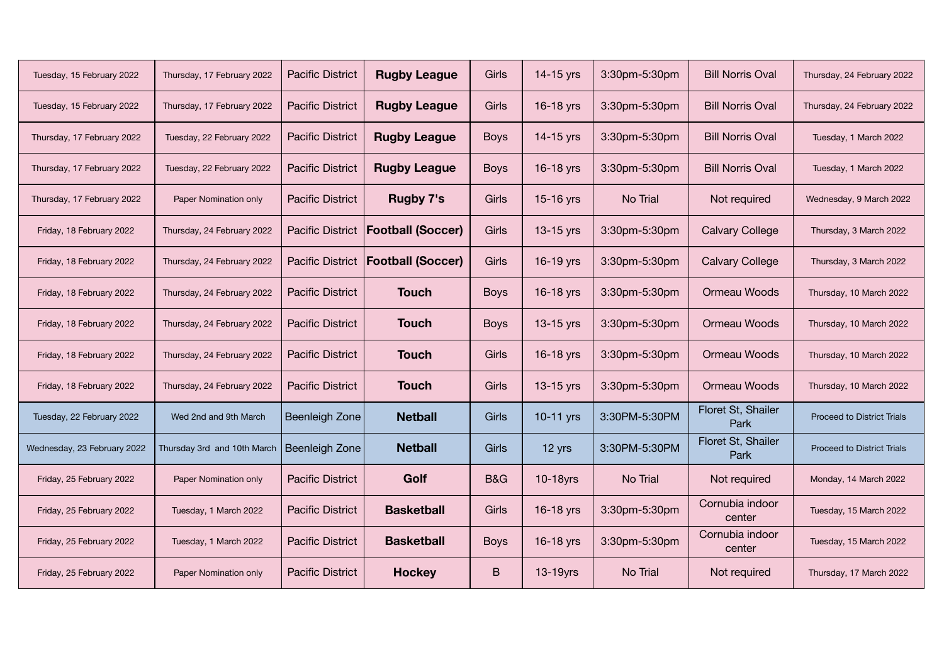| Tuesday, 15 February 2022   | Thursday, 17 February 2022  | <b>Pacific District</b> | <b>Rugby League</b>      | Girls          | 14-15 yrs   | 3:30pm-5:30pm | <b>Bill Norris Oval</b>    | Thursday, 24 February 2022        |
|-----------------------------|-----------------------------|-------------------------|--------------------------|----------------|-------------|---------------|----------------------------|-----------------------------------|
| Tuesday, 15 February 2022   | Thursday, 17 February 2022  | <b>Pacific District</b> | <b>Rugby League</b>      | Girls          | 16-18 yrs   | 3:30pm-5:30pm | <b>Bill Norris Oval</b>    | Thursday, 24 February 2022        |
| Thursday, 17 February 2022  | Tuesday, 22 February 2022   | <b>Pacific District</b> | <b>Rugby League</b>      | <b>Boys</b>    | 14-15 yrs   | 3:30pm-5:30pm | <b>Bill Norris Oval</b>    | Tuesday, 1 March 2022             |
| Thursday, 17 February 2022  | Tuesday, 22 February 2022   | <b>Pacific District</b> | <b>Rugby League</b>      | <b>Boys</b>    | 16-18 yrs   | 3:30pm-5:30pm | <b>Bill Norris Oval</b>    | Tuesday, 1 March 2022             |
| Thursday, 17 February 2022  | Paper Nomination only       | <b>Pacific District</b> | <b>Rugby 7's</b>         | Girls          | 15-16 yrs   | No Trial      | Not required               | Wednesday, 9 March 2022           |
| Friday, 18 February 2022    | Thursday, 24 February 2022  | <b>Pacific District</b> | <b>Football (Soccer)</b> | Girls          | 13-15 yrs   | 3:30pm-5:30pm | <b>Calvary College</b>     | Thursday, 3 March 2022            |
| Friday, 18 February 2022    | Thursday, 24 February 2022  | <b>Pacific District</b> | <b>Football (Soccer)</b> | Girls          | 16-19 yrs   | 3:30pm-5:30pm | <b>Calvary College</b>     | Thursday, 3 March 2022            |
| Friday, 18 February 2022    | Thursday, 24 February 2022  | <b>Pacific District</b> | <b>Touch</b>             | <b>Boys</b>    | 16-18 yrs   | 3:30pm-5:30pm | Ormeau Woods               | Thursday, 10 March 2022           |
| Friday, 18 February 2022    | Thursday, 24 February 2022  | <b>Pacific District</b> | <b>Touch</b>             | <b>Boys</b>    | 13-15 yrs   | 3:30pm-5:30pm | Ormeau Woods               | Thursday, 10 March 2022           |
| Friday, 18 February 2022    | Thursday, 24 February 2022  | <b>Pacific District</b> | <b>Touch</b>             | Girls          | 16-18 yrs   | 3:30pm-5:30pm | Ormeau Woods               | Thursday, 10 March 2022           |
| Friday, 18 February 2022    | Thursday, 24 February 2022  | <b>Pacific District</b> | <b>Touch</b>             | Girls          | 13-15 yrs   | 3:30pm-5:30pm | Ormeau Woods               | Thursday, 10 March 2022           |
| Tuesday, 22 February 2022   | Wed 2nd and 9th March       | Beenleigh Zone          | <b>Netball</b>           | Girls          | $10-11$ yrs | 3:30PM-5:30PM | Floret St, Shailer<br>Park | <b>Proceed to District Trials</b> |
| Wednesday, 23 February 2022 | Thursday 3rd and 10th March | Beenleigh Zone          | <b>Netball</b>           | Girls          | 12 yrs      | 3:30PM-5:30PM | Floret St, Shailer<br>Park | <b>Proceed to District Trials</b> |
| Friday, 25 February 2022    | Paper Nomination only       | <b>Pacific District</b> | Golf                     | <b>B&amp;G</b> | $10-18$ yrs | No Trial      | Not required               | Monday, 14 March 2022             |
| Friday, 25 February 2022    | Tuesday, 1 March 2022       | <b>Pacific District</b> | <b>Basketball</b>        | Girls          | 16-18 yrs   | 3:30pm-5:30pm | Cornubia indoor<br>center  | Tuesday, 15 March 2022            |
| Friday, 25 February 2022    | Tuesday, 1 March 2022       | <b>Pacific District</b> | <b>Basketball</b>        | <b>Boys</b>    | 16-18 yrs   | 3:30pm-5:30pm | Cornubia indoor<br>center  | Tuesday, 15 March 2022            |
| Friday, 25 February 2022    | Paper Nomination only       | <b>Pacific District</b> | <b>Hockey</b>            | B              | $13-19$ yrs | No Trial      | Not required               | Thursday, 17 March 2022           |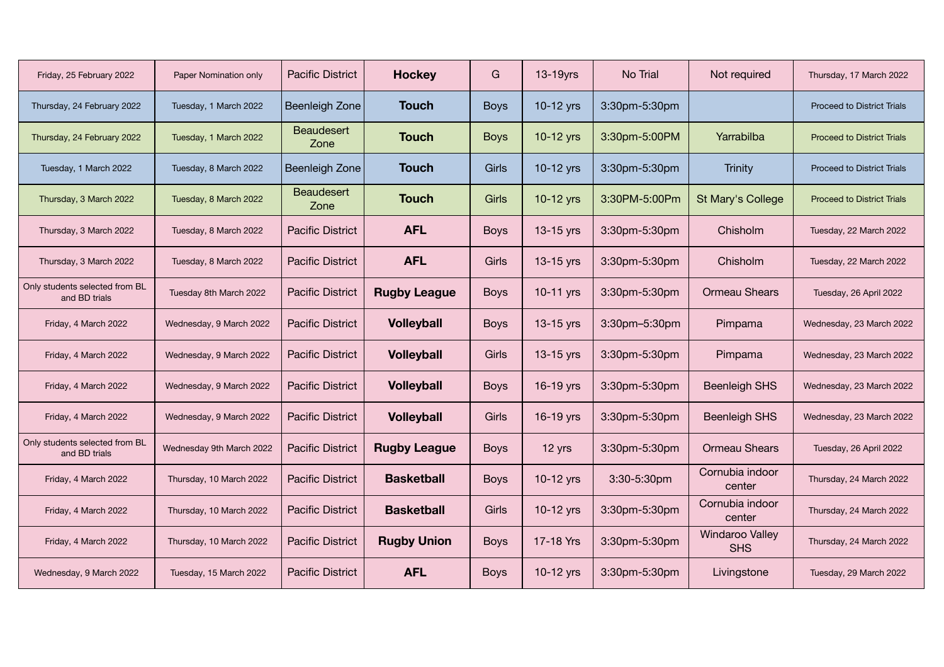| Friday, 25 February 2022                        | Paper Nomination only    | <b>Pacific District</b> | <b>Hockey</b>       | G           | 13-19yrs    | No Trial      | Not required                         | Thursday, 17 March 2022           |
|-------------------------------------------------|--------------------------|-------------------------|---------------------|-------------|-------------|---------------|--------------------------------------|-----------------------------------|
| Thursday, 24 February 2022                      | Tuesday, 1 March 2022    | <b>Beenleigh Zone</b>   | <b>Touch</b>        | <b>Boys</b> | 10-12 yrs   | 3:30pm-5:30pm |                                      | <b>Proceed to District Trials</b> |
| Thursday, 24 February 2022                      | Tuesday, 1 March 2022    | Beaudesert<br>Zone      | <b>Touch</b>        | <b>Boys</b> | $10-12$ yrs | 3:30pm-5:00PM | Yarrabilba                           | <b>Proceed to District Trials</b> |
| Tuesday, 1 March 2022                           | Tuesday, 8 March 2022    | Beenleigh Zone          | <b>Touch</b>        | Girls       | 10-12 yrs   | 3:30pm-5:30pm | Trinity                              | <b>Proceed to District Trials</b> |
| Thursday, 3 March 2022                          | Tuesday, 8 March 2022    | Beaudesert<br>Zone      | <b>Touch</b>        | Girls       | 10-12 yrs   | 3:30PM-5:00Pm | St Mary's College                    | <b>Proceed to District Trials</b> |
| Thursday, 3 March 2022                          | Tuesday, 8 March 2022    | <b>Pacific District</b> | <b>AFL</b>          | <b>Boys</b> | 13-15 yrs   | 3:30pm-5:30pm | Chisholm                             | Tuesday, 22 March 2022            |
| Thursday, 3 March 2022                          | Tuesday, 8 March 2022    | <b>Pacific District</b> | <b>AFL</b>          | Girls       | $13-15$ yrs | 3:30pm-5:30pm | Chisholm                             | Tuesday, 22 March 2022            |
| Only students selected from BL<br>and BD trials | Tuesday 8th March 2022   | <b>Pacific District</b> | <b>Rugby League</b> | <b>Boys</b> | 10-11 yrs   | 3:30pm-5:30pm | <b>Ormeau Shears</b>                 | Tuesday, 26 April 2022            |
| Friday, 4 March 2022                            | Wednesday, 9 March 2022  | <b>Pacific District</b> | <b>Volleyball</b>   | <b>Boys</b> | $13-15$ yrs | 3:30pm-5:30pm | Pimpama                              | Wednesday, 23 March 2022          |
| Friday, 4 March 2022                            | Wednesday, 9 March 2022  | <b>Pacific District</b> | <b>Volleyball</b>   | Girls       | 13-15 yrs   | 3:30pm-5:30pm | Pimpama                              | Wednesday, 23 March 2022          |
| Friday, 4 March 2022                            | Wednesday, 9 March 2022  | <b>Pacific District</b> | <b>Volleyball</b>   | <b>Boys</b> | 16-19 yrs   | 3:30pm-5:30pm | <b>Beenleigh SHS</b>                 | Wednesday, 23 March 2022          |
| Friday, 4 March 2022                            | Wednesday, 9 March 2022  | <b>Pacific District</b> | <b>Volleyball</b>   | Girls       | 16-19 yrs   | 3:30pm-5:30pm | <b>Beenleigh SHS</b>                 | Wednesday, 23 March 2022          |
| Only students selected from BL<br>and BD trials | Wednesday 9th March 2022 | <b>Pacific District</b> | <b>Rugby League</b> | <b>Boys</b> | 12 yrs      | 3:30pm-5:30pm | <b>Ormeau Shears</b>                 | Tuesday, 26 April 2022            |
| Friday, 4 March 2022                            | Thursday, 10 March 2022  | <b>Pacific District</b> | <b>Basketball</b>   | <b>Boys</b> | 10-12 yrs   | 3:30-5:30pm   | Cornubia indoor<br>center            | Thursday, 24 March 2022           |
| Friday, 4 March 2022                            | Thursday, 10 March 2022  | <b>Pacific District</b> | <b>Basketball</b>   | Girls       | 10-12 yrs   | 3:30pm-5:30pm | Cornubia indoor<br>center            | Thursday, 24 March 2022           |
| Friday, 4 March 2022                            | Thursday, 10 March 2022  | <b>Pacific District</b> | <b>Rugby Union</b>  | <b>Boys</b> | 17-18 Yrs   | 3:30pm-5:30pm | <b>Windaroo Valley</b><br><b>SHS</b> | Thursday, 24 March 2022           |
| Wednesday, 9 March 2022                         | Tuesday, 15 March 2022   | <b>Pacific District</b> | <b>AFL</b>          | <b>Boys</b> | 10-12 yrs   | 3:30pm-5:30pm | Livingstone                          | Tuesday, 29 March 2022            |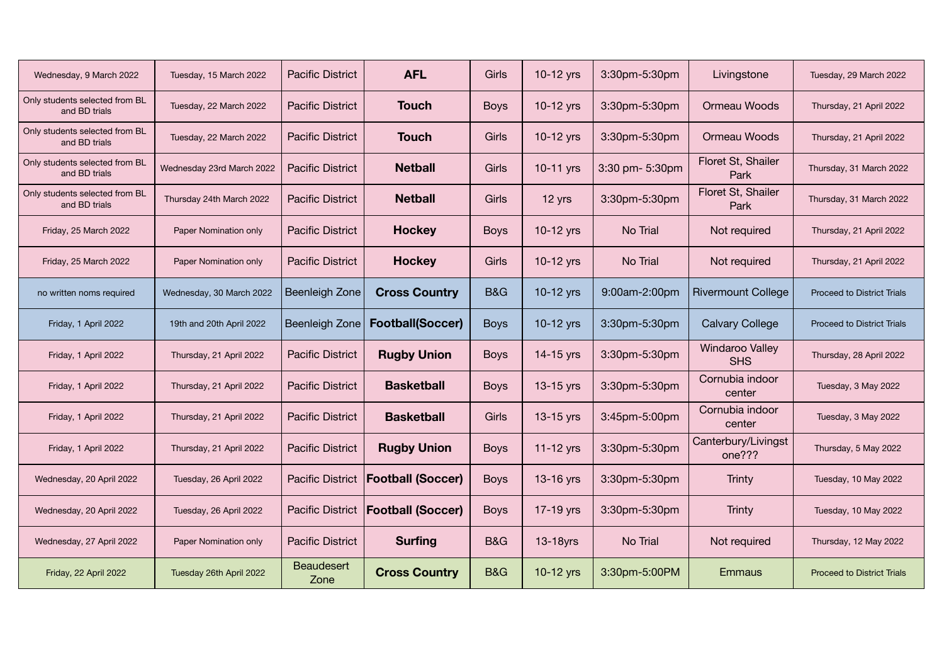| Wednesday, 9 March 2022                         | Tuesday, 15 March 2022    | <b>Pacific District</b>   | <b>AFL</b>               | Girls          | 10-12 yrs   | 3:30pm-5:30pm   | Livingstone                          | Tuesday, 29 March 2022            |
|-------------------------------------------------|---------------------------|---------------------------|--------------------------|----------------|-------------|-----------------|--------------------------------------|-----------------------------------|
| Only students selected from BL<br>and BD trials | Tuesday, 22 March 2022    | <b>Pacific District</b>   | <b>Touch</b>             | <b>Boys</b>    | 10-12 yrs   | 3:30pm-5:30pm   | Ormeau Woods                         | Thursday, 21 April 2022           |
| Only students selected from BL<br>and BD trials | Tuesday, 22 March 2022    | <b>Pacific District</b>   | <b>Touch</b>             | Girls          | 10-12 yrs   | 3:30pm-5:30pm   | Ormeau Woods                         | Thursday, 21 April 2022           |
| Only students selected from BL<br>and BD trials | Wednesday 23rd March 2022 | <b>Pacific District</b>   | <b>Netball</b>           | Girls          | 10-11 yrs   | 3:30 pm- 5:30pm | Floret St, Shailer<br>Park           | Thursday, 31 March 2022           |
| Only students selected from BL<br>and BD trials | Thursday 24th March 2022  | <b>Pacific District</b>   | <b>Netball</b>           | Girls          | 12 yrs      | 3:30pm-5:30pm   | Floret St, Shailer<br>Park           | Thursday, 31 March 2022           |
| Friday, 25 March 2022                           | Paper Nomination only     | <b>Pacific District</b>   | <b>Hockey</b>            | <b>Boys</b>    | 10-12 yrs   | No Trial        | Not required                         | Thursday, 21 April 2022           |
| Friday, 25 March 2022                           | Paper Nomination only     | <b>Pacific District</b>   | <b>Hockey</b>            | Girls          | 10-12 yrs   | No Trial        | Not required                         | Thursday, 21 April 2022           |
| no written noms required                        | Wednesday, 30 March 2022  | <b>Beenleigh Zone</b>     | <b>Cross Country</b>     | <b>B&amp;G</b> | 10-12 yrs   | 9:00am-2:00pm   | <b>Rivermount College</b>            | <b>Proceed to District Trials</b> |
| Friday, 1 April 2022                            | 19th and 20th April 2022  | Beenleigh Zone            | <b>Football(Soccer)</b>  | <b>Boys</b>    | 10-12 yrs   | 3:30pm-5:30pm   | <b>Calvary College</b>               | <b>Proceed to District Trials</b> |
| Friday, 1 April 2022                            | Thursday, 21 April 2022   | <b>Pacific District</b>   | <b>Rugby Union</b>       | <b>Boys</b>    | 14-15 yrs   | 3:30pm-5:30pm   | <b>Windaroo Valley</b><br><b>SHS</b> | Thursday, 28 April 2022           |
| Friday, 1 April 2022                            | Thursday, 21 April 2022   | <b>Pacific District</b>   | <b>Basketball</b>        | <b>Boys</b>    | 13-15 yrs   | 3:30pm-5:30pm   | Cornubia indoor<br>center            | Tuesday, 3 May 2022               |
| Friday, 1 April 2022                            | Thursday, 21 April 2022   | <b>Pacific District</b>   | <b>Basketball</b>        | Girls          | $13-15$ yrs | 3:45pm-5:00pm   | Cornubia indoor<br>center            | Tuesday, 3 May 2022               |
| Friday, 1 April 2022                            | Thursday, 21 April 2022   | <b>Pacific District</b>   | <b>Rugby Union</b>       | <b>Boys</b>    | $11-12$ yrs | 3:30pm-5:30pm   | Canterbury/Livingst<br>one???        | Thursday, 5 May 2022              |
| Wednesday, 20 April 2022                        | Tuesday, 26 April 2022    | <b>Pacific District</b>   | <b>Football (Soccer)</b> | <b>Boys</b>    | 13-16 yrs   | 3:30pm-5:30pm   | Trinty                               | Tuesday, 10 May 2022              |
| Wednesday, 20 April 2022                        | Tuesday, 26 April 2022    | <b>Pacific District</b>   | <b>Football (Soccer)</b> | <b>Boys</b>    | 17-19 yrs   | 3:30pm-5:30pm   | Trinty                               | Tuesday, 10 May 2022              |
| Wednesday, 27 April 2022                        | Paper Nomination only     | <b>Pacific District</b>   | <b>Surfing</b>           | <b>B&amp;G</b> | $13-18$ yrs | No Trial        | Not required                         | Thursday, 12 May 2022             |
| Friday, 22 April 2022                           | Tuesday 26th April 2022   | <b>Beaudesert</b><br>Zone | <b>Cross Country</b>     | <b>B&amp;G</b> | 10-12 yrs   | 3:30pm-5:00PM   | <b>Emmaus</b>                        | <b>Proceed to District Trials</b> |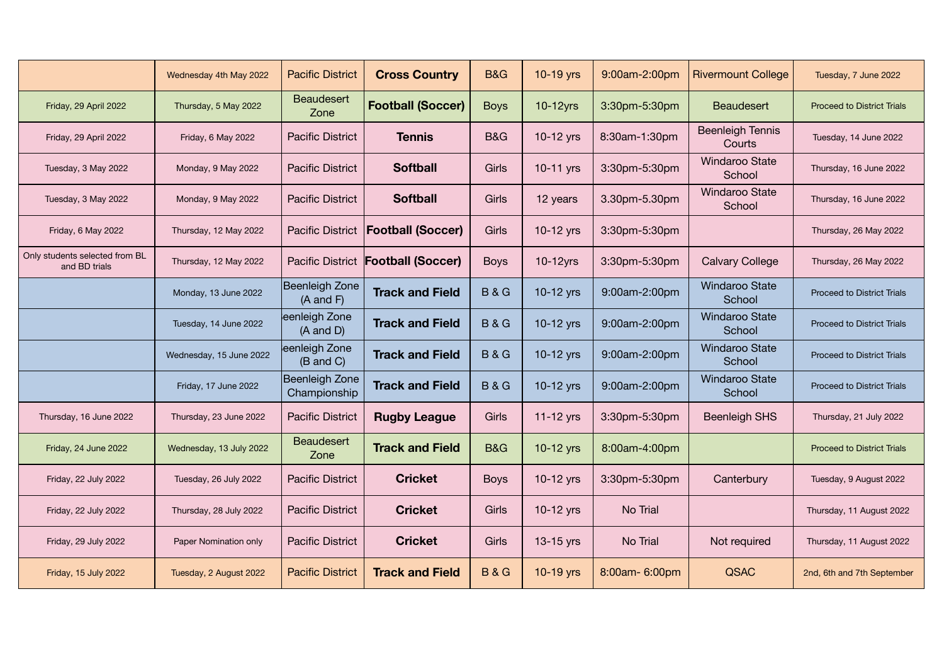|                                                 | Wednesday 4th May 2022  | <b>Pacific District</b>                | <b>Cross Country</b>               | <b>B&amp;G</b> | 10-19 yrs   | 9:00am-2:00pm  | <b>Rivermount College</b>         | Tuesday, 7 June 2022              |
|-------------------------------------------------|-------------------------|----------------------------------------|------------------------------------|----------------|-------------|----------------|-----------------------------------|-----------------------------------|
| Friday, 29 April 2022                           | Thursday, 5 May 2022    | <b>Beaudesert</b><br>Zone              | <b>Football (Soccer)</b>           | <b>Boys</b>    | $10-12$ yrs | 3:30pm-5:30pm  | <b>Beaudesert</b>                 | <b>Proceed to District Trials</b> |
| Friday, 29 April 2022                           | Friday, 6 May 2022      | <b>Pacific District</b>                | <b>Tennis</b>                      | <b>B&amp;G</b> | 10-12 yrs   | 8:30am-1:30pm  | <b>Beenleigh Tennis</b><br>Courts | Tuesday, 14 June 2022             |
| Tuesday, 3 May 2022                             | Monday, 9 May 2022      | <b>Pacific District</b>                | <b>Softball</b>                    | Girls          | 10-11 yrs   | 3:30pm-5:30pm  | <b>Windaroo State</b><br>School   | Thursday, 16 June 2022            |
| Tuesday, 3 May 2022                             | Monday, 9 May 2022      | <b>Pacific District</b>                | <b>Softball</b>                    | Girls          | 12 years    | 3.30pm-5.30pm  | <b>Windaroo State</b><br>School   | Thursday, 16 June 2022            |
| Friday, 6 May 2022                              | Thursday, 12 May 2022   | <b>Pacific District</b>                | <b>Football (Soccer)</b>           | Girls          | 10-12 yrs   | 3:30pm-5:30pm  |                                   | Thursday, 26 May 2022             |
| Only students selected from BL<br>and BD trials | Thursday, 12 May 2022   |                                        | Pacific District Football (Soccer) | <b>Boys</b>    | $10-12$ yrs | 3:30pm-5:30pm  | <b>Calvary College</b>            | Thursday, 26 May 2022             |
|                                                 | Monday, 13 June 2022    | Beenleigh Zone<br>$(A \text{ and } F)$ | <b>Track and Field</b>             | <b>B&amp;G</b> | 10-12 yrs   | 9:00am-2:00pm  | <b>Windaroo State</b><br>School   | <b>Proceed to District Trials</b> |
|                                                 | Tuesday, 14 June 2022   | eenleigh Zone<br>$(A \text{ and } D)$  | <b>Track and Field</b>             | <b>B&amp;G</b> | 10-12 yrs   | 9:00am-2:00pm  | <b>Windaroo State</b><br>School   | <b>Proceed to District Trials</b> |
|                                                 | Wednesday, 15 June 2022 | eenleigh Zone<br>(B and C)             | <b>Track and Field</b>             | <b>B&amp;G</b> | 10-12 yrs   | 9:00am-2:00pm  | <b>Windaroo State</b><br>School   | <b>Proceed to District Trials</b> |
|                                                 | Friday, 17 June 2022    | Beenleigh Zone<br>Championship         | <b>Track and Field</b>             | <b>B&amp;G</b> | 10-12 yrs   | 9:00am-2:00pm  | <b>Windaroo State</b><br>School   | <b>Proceed to District Trials</b> |
| Thursday, 16 June 2022                          | Thursday, 23 June 2022  | <b>Pacific District</b>                | <b>Rugby League</b>                | Girls          | 11-12 yrs   | 3:30pm-5:30pm  | <b>Beenleigh SHS</b>              | Thursday, 21 July 2022            |
| Friday, 24 June 2022                            | Wednesday, 13 July 2022 | Beaudesert<br>Zone                     | <b>Track and Field</b>             | <b>B&amp;G</b> | 10-12 yrs   | 8:00am-4:00pm  |                                   | <b>Proceed to District Trials</b> |
| Friday, 22 July 2022                            | Tuesday, 26 July 2022   | <b>Pacific District</b>                | <b>Cricket</b>                     | <b>Boys</b>    | 10-12 yrs   | 3:30pm-5:30pm  | Canterbury                        | Tuesday, 9 August 2022            |
| Friday, 22 July 2022                            | Thursday, 28 July 2022  | <b>Pacific District</b>                | <b>Cricket</b>                     | Girls          | 10-12 yrs   | No Trial       |                                   | Thursday, 11 August 2022          |
| Friday, 29 July 2022                            | Paper Nomination only   | <b>Pacific District</b>                | <b>Cricket</b>                     | Girls          | 13-15 yrs   | No Trial       | Not required                      | Thursday, 11 August 2022          |
| Friday, 15 July 2022                            | Tuesday, 2 August 2022  | <b>Pacific District</b>                | <b>Track and Field</b>             | <b>B&amp;G</b> | 10-19 yrs   | 8:00am- 6:00pm | <b>QSAC</b>                       | 2nd, 6th and 7th September        |